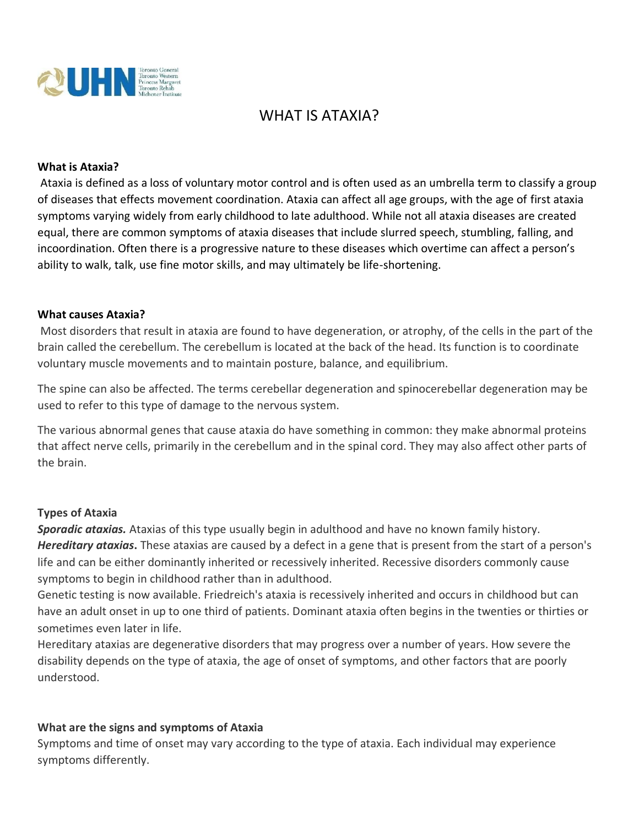

# WHAT IS ATAXIA?

### **What is Ataxia?**

Ataxia is defined as a loss of voluntary motor control and is often used as an umbrella term to classify a group of diseases that effects movement coordination. Ataxia can affect all age groups, with the age of first ataxia symptoms varying widely from early childhood to late adulthood. While not all ataxia diseases are created equal, there are common symptoms of ataxia diseases that include slurred speech, stumbling, falling, and incoordination. Often there is a progressive nature to these diseases which overtime can affect a person's ability to walk, talk, use fine motor skills, and may ultimately be life-shortening.

#### **What causes Ataxia?**

Most disorders that result in ataxia are found to have degeneration, or atrophy, of the cells in the part of the brain called the cerebellum. The cerebellum is located at the back of the head. Its function is to coordinate voluntary muscle movements and to maintain posture, balance, and equilibrium.

The spine can also be affected. The terms cerebellar degeneration and spinocerebellar degeneration may be used to refer to this type of damage to the nervous system.

The various abnormal genes that cause ataxia do have something in common: they make abnormal proteins that affect nerve cells, primarily in the cerebellum and in the spinal cord. They may also affect other parts of the brain.

### **Types of Ataxia**

*Sporadic ataxias.* Ataxias of this type usually begin in adulthood and have no known family history. *Hereditary ataxias***.** These ataxias are caused by a defect in a gene that is present from the start of a person's life and can be either dominantly inherited or recessively inherited. Recessive disorders commonly cause symptoms to begin in childhood rather than in adulthood.

Genetic testing is now available. Friedreich's ataxia is recessively inherited and occurs in childhood but can have an adult onset in up to one third of patients. Dominant ataxia often begins in the twenties or thirties or sometimes even later in life.

Hereditary ataxias are degenerative disorders that may progress over a number of years. How severe the disability depends on the type of ataxia, the age of onset of symptoms, and other factors that are poorly understood.

### **What are the signs and symptoms of Ataxia**

Symptoms and time of onset may vary according to the type of ataxia. Each individual may experience symptoms differently.